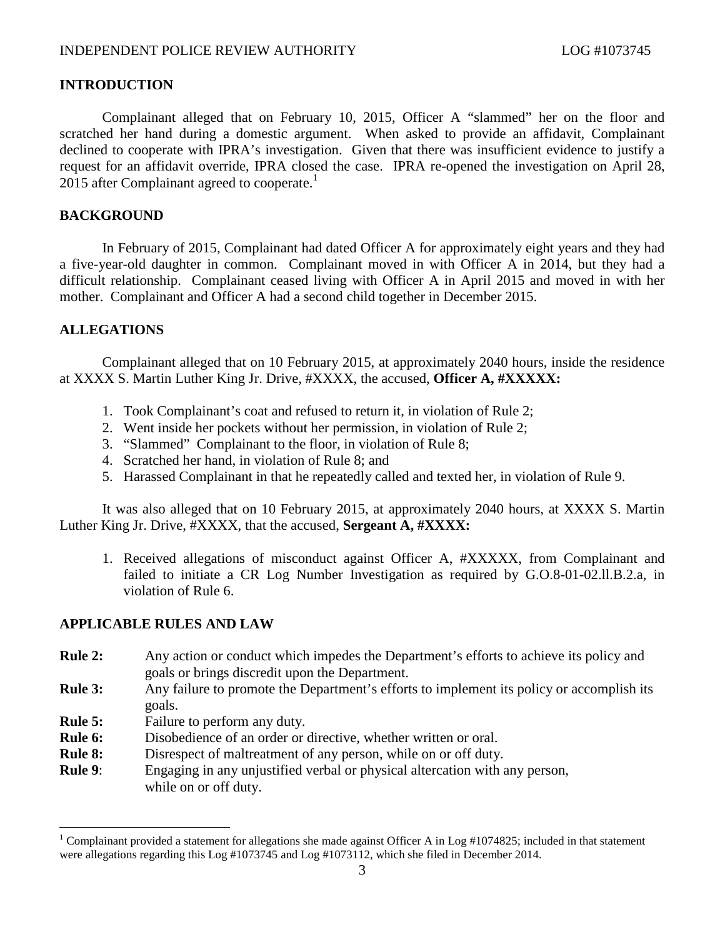# **INTRODUCTION**

Complainant alleged that on February 10, 2015, Officer A "slammed" her on the floor and scratched her hand during a domestic argument. When asked to provide an affidavit, Complainant declined to cooperate with IPRA's investigation. Given that there was insufficient evidence to justify a request for an affidavit override, IPRA closed the case. IPRA re-opened the investigation on April 28, 20[1](#page-0-0)5 after Complainant agreed to cooperate.<sup>1</sup>

# **BACKGROUND**

In February of 2015, Complainant had dated Officer A for approximately eight years and they had a five-year-old daughter in common. Complainant moved in with Officer A in 2014, but they had a difficult relationship. Complainant ceased living with Officer A in April 2015 and moved in with her mother. Complainant and Officer A had a second child together in December 2015.

# **ALLEGATIONS**

Complainant alleged that on 10 February 2015, at approximately 2040 hours, inside the residence at XXXX S. Martin Luther King Jr. Drive, #XXXX, the accused, **Officer A, #XXXXX:**

- 1. Took Complainant's coat and refused to return it, in violation of Rule 2;
- 2. Went inside her pockets without her permission, in violation of Rule 2;
- 3. "Slammed" Complainant to the floor, in violation of Rule 8;
- 4. Scratched her hand, in violation of Rule 8; and
- 5. Harassed Complainant in that he repeatedly called and texted her, in violation of Rule 9.

It was also alleged that on 10 February 2015, at approximately 2040 hours, at XXXX S. Martin Luther King Jr. Drive, #XXXX, that the accused, **Sergeant A, #XXXX:**

1. Received allegations of misconduct against Officer A, #XXXXX, from Complainant and failed to initiate a CR Log Number Investigation as required by G.O.8-01-02.ll.B.2.a, in violation of Rule 6.

# **APPLICABLE RULES AND LAW**

- **Rule 2:** Any action or conduct which impedes the Department's efforts to achieve its policy and goals or brings discredit upon the Department.
- **Rule 3:** Any failure to promote the Department's efforts to implement its policy or accomplish its goals.
- **Rule 5:** Failure to perform any duty.
- **Rule 6:** Disobedience of an order or directive, whether written or oral.
- **Rule 8:** Disrespect of maltreatment of any person, while on or off duty.
- **Rule 9**: Engaging in any unjustified verbal or physical altercation with any person, while on or off duty.

<span id="page-0-0"></span><sup>&</sup>lt;sup>1</sup> Complainant provided a statement for allegations she made against Officer A in Log  $\#1074825$ ; included in that statement were allegations regarding this Log #1073745 and Log #1073112, which she filed in December 2014.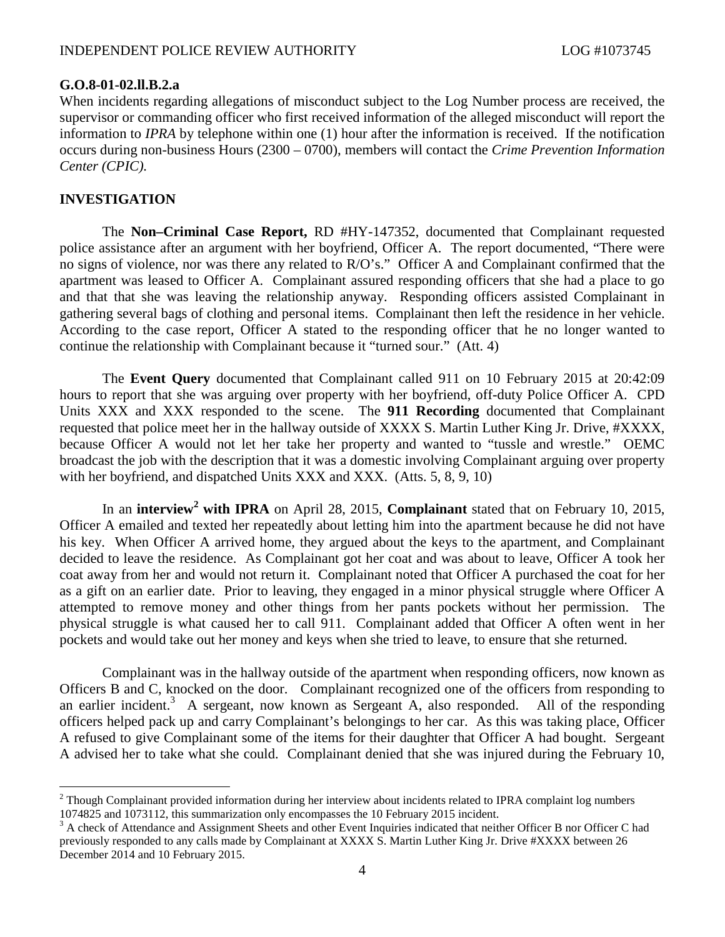# **G.O.8-01-02.ll.B.2.a**

When incidents regarding allegations of misconduct subject to the Log Number process are received, the supervisor or commanding officer who first received information of the alleged misconduct will report the information to *IPRA* by telephone within one (1) hour after the information is received. If the notification occurs during non-business Hours (2300 – 0700), members will contact the *Crime Prevention Information Center (CPIC).*

# **INVESTIGATION**

The **Non–Criminal Case Report,** RD #HY-147352, documented that Complainant requested police assistance after an argument with her boyfriend, Officer A. The report documented, "There were no signs of violence, nor was there any related to R/O's." Officer A and Complainant confirmed that the apartment was leased to Officer A. Complainant assured responding officers that she had a place to go and that that she was leaving the relationship anyway. Responding officers assisted Complainant in gathering several bags of clothing and personal items. Complainant then left the residence in her vehicle. According to the case report, Officer A stated to the responding officer that he no longer wanted to continue the relationship with Complainant because it "turned sour." (Att. 4)

The **Event Query** documented that Complainant called 911 on 10 February 2015 at 20:42:09 hours to report that she was arguing over property with her boyfriend, off-duty Police Officer A. CPD Units XXX and XXX responded to the scene. The **911 Recording** documented that Complainant requested that police meet her in the hallway outside of XXXX S. Martin Luther King Jr. Drive, #XXXX, because Officer A would not let her take her property and wanted to "tussle and wrestle." OEMC broadcast the job with the description that it was a domestic involving Complainant arguing over property with her boyfriend, and dispatched Units XXX and XXX. (Atts. 5, 8, 9, 10)

In an **interview[2](#page-1-0) with IPRA** on April 28, 2015, **Complainant** stated that on February 10, 2015, Officer A emailed and texted her repeatedly about letting him into the apartment because he did not have his key. When Officer A arrived home, they argued about the keys to the apartment, and Complainant decided to leave the residence. As Complainant got her coat and was about to leave, Officer A took her coat away from her and would not return it. Complainant noted that Officer A purchased the coat for her as a gift on an earlier date. Prior to leaving, they engaged in a minor physical struggle where Officer A attempted to remove money and other things from her pants pockets without her permission. The physical struggle is what caused her to call 911. Complainant added that Officer A often went in her pockets and would take out her money and keys when she tried to leave, to ensure that she returned.

Complainant was in the hallway outside of the apartment when responding officers, now known as Officers B and C, knocked on the door. Complainant recognized one of the officers from responding to an earlier incident.<sup>[3](#page-1-1)</sup> A sergeant, now known as Sergeant A, also responded. All of the responding officers helped pack up and carry Complainant's belongings to her car. As this was taking place, Officer A refused to give Complainant some of the items for their daughter that Officer A had bought. Sergeant A advised her to take what she could. Complainant denied that she was injured during the February 10,

<span id="page-1-0"></span><sup>&</sup>lt;sup>2</sup> Though Complainant provided information during her interview about incidents related to IPRA complaint log numbers 1074825 and 1073112, this summarization only encompasses the 10 February 2015 incident.

<span id="page-1-1"></span><sup>&</sup>lt;sup>3</sup> A check of Attendance and Assignment Sheets and other Event Inquiries indicated that neither Officer B nor Officer C had previously responded to any calls made by Complainant at XXXX S. Martin Luther King Jr. Drive #XXXX between 26 December 2014 and 10 February 2015.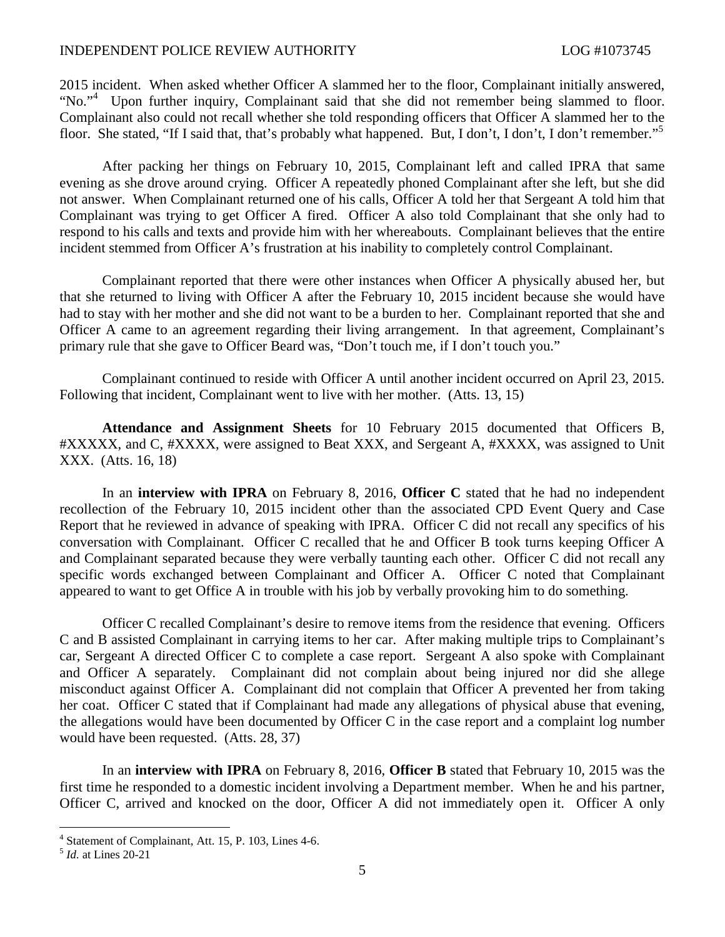2015 incident. When asked whether Officer A slammed her to the floor, Complainant initially answered, "No."<sup>[4](#page-2-0)</sup> Upon further inquiry, Complainant said that she did not remember being slammed to floor. Complainant also could not recall whether she told responding officers that Officer A slammed her to the floor. She stated, "If I said that, that's probably what happened. But, I don't, I don't, I don't remember."<sup>[5](#page-2-1)</sup>

After packing her things on February 10, 2015, Complainant left and called IPRA that same evening as she drove around crying. Officer A repeatedly phoned Complainant after she left, but she did not answer. When Complainant returned one of his calls, Officer A told her that Sergeant A told him that Complainant was trying to get Officer A fired. Officer A also told Complainant that she only had to respond to his calls and texts and provide him with her whereabouts. Complainant believes that the entire incident stemmed from Officer A's frustration at his inability to completely control Complainant.

Complainant reported that there were other instances when Officer A physically abused her, but that she returned to living with Officer A after the February 10, 2015 incident because she would have had to stay with her mother and she did not want to be a burden to her. Complainant reported that she and Officer A came to an agreement regarding their living arrangement. In that agreement, Complainant's primary rule that she gave to Officer Beard was, "Don't touch me, if I don't touch you."

Complainant continued to reside with Officer A until another incident occurred on April 23, 2015. Following that incident, Complainant went to live with her mother. (Atts. 13, 15)

**Attendance and Assignment Sheets** for 10 February 2015 documented that Officers B, #XXXXX, and C, #XXXX, were assigned to Beat XXX, and Sergeant A, #XXXX, was assigned to Unit XXX. (Atts. 16, 18)

In an **interview with IPRA** on February 8, 2016, **Officer C** stated that he had no independent recollection of the February 10, 2015 incident other than the associated CPD Event Query and Case Report that he reviewed in advance of speaking with IPRA. Officer C did not recall any specifics of his conversation with Complainant. Officer C recalled that he and Officer B took turns keeping Officer A and Complainant separated because they were verbally taunting each other. Officer C did not recall any specific words exchanged between Complainant and Officer A. Officer C noted that Complainant appeared to want to get Office A in trouble with his job by verbally provoking him to do something.

Officer C recalled Complainant's desire to remove items from the residence that evening. Officers C and B assisted Complainant in carrying items to her car. After making multiple trips to Complainant's car, Sergeant A directed Officer C to complete a case report. Sergeant A also spoke with Complainant and Officer A separately. Complainant did not complain about being injured nor did she allege misconduct against Officer A. Complainant did not complain that Officer A prevented her from taking her coat. Officer C stated that if Complainant had made any allegations of physical abuse that evening, the allegations would have been documented by Officer C in the case report and a complaint log number would have been requested. (Atts. 28, 37)

In an **interview with IPRA** on February 8, 2016, **Officer B** stated that February 10, 2015 was the first time he responded to a domestic incident involving a Department member. When he and his partner, Officer C, arrived and knocked on the door, Officer A did not immediately open it. Officer A only

<span id="page-2-1"></span><span id="page-2-0"></span><sup>4</sup> Statement of Complainant, Att. 15, P. 103, Lines 4-6.

<sup>5</sup> *Id.* at Lines 20-21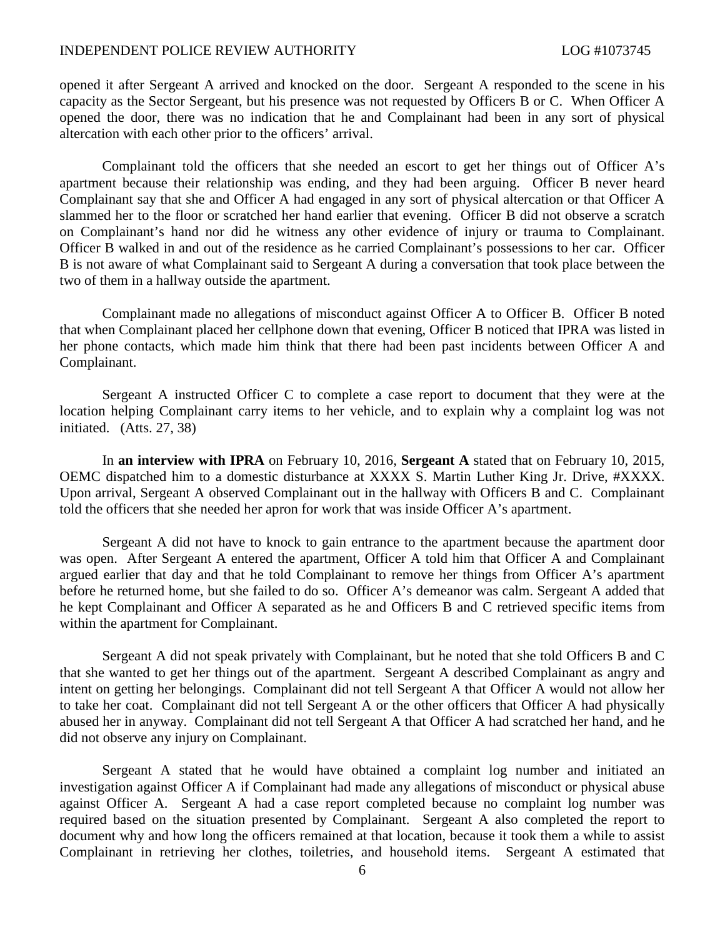opened it after Sergeant A arrived and knocked on the door. Sergeant A responded to the scene in his capacity as the Sector Sergeant, but his presence was not requested by Officers B or C. When Officer A opened the door, there was no indication that he and Complainant had been in any sort of physical altercation with each other prior to the officers' arrival.

Complainant told the officers that she needed an escort to get her things out of Officer A's apartment because their relationship was ending, and they had been arguing. Officer B never heard Complainant say that she and Officer A had engaged in any sort of physical altercation or that Officer A slammed her to the floor or scratched her hand earlier that evening. Officer B did not observe a scratch on Complainant's hand nor did he witness any other evidence of injury or trauma to Complainant. Officer B walked in and out of the residence as he carried Complainant's possessions to her car. Officer B is not aware of what Complainant said to Sergeant A during a conversation that took place between the two of them in a hallway outside the apartment.

Complainant made no allegations of misconduct against Officer A to Officer B. Officer B noted that when Complainant placed her cellphone down that evening, Officer B noticed that IPRA was listed in her phone contacts, which made him think that there had been past incidents between Officer A and Complainant.

Sergeant A instructed Officer C to complete a case report to document that they were at the location helping Complainant carry items to her vehicle, and to explain why a complaint log was not initiated. (Atts. 27, 38)

In **an interview with IPRA** on February 10, 2016, **Sergeant A** stated that on February 10, 2015, OEMC dispatched him to a domestic disturbance at XXXX S. Martin Luther King Jr. Drive, #XXXX. Upon arrival, Sergeant A observed Complainant out in the hallway with Officers B and C. Complainant told the officers that she needed her apron for work that was inside Officer A's apartment.

Sergeant A did not have to knock to gain entrance to the apartment because the apartment door was open. After Sergeant A entered the apartment, Officer A told him that Officer A and Complainant argued earlier that day and that he told Complainant to remove her things from Officer A's apartment before he returned home, but she failed to do so. Officer A's demeanor was calm. Sergeant A added that he kept Complainant and Officer A separated as he and Officers B and C retrieved specific items from within the apartment for Complainant.

Sergeant A did not speak privately with Complainant, but he noted that she told Officers B and C that she wanted to get her things out of the apartment. Sergeant A described Complainant as angry and intent on getting her belongings. Complainant did not tell Sergeant A that Officer A would not allow her to take her coat. Complainant did not tell Sergeant A or the other officers that Officer A had physically abused her in anyway. Complainant did not tell Sergeant A that Officer A had scratched her hand, and he did not observe any injury on Complainant.

Sergeant A stated that he would have obtained a complaint log number and initiated an investigation against Officer A if Complainant had made any allegations of misconduct or physical abuse against Officer A. Sergeant A had a case report completed because no complaint log number was required based on the situation presented by Complainant. Sergeant A also completed the report to document why and how long the officers remained at that location, because it took them a while to assist Complainant in retrieving her clothes, toiletries, and household items. Sergeant A estimated that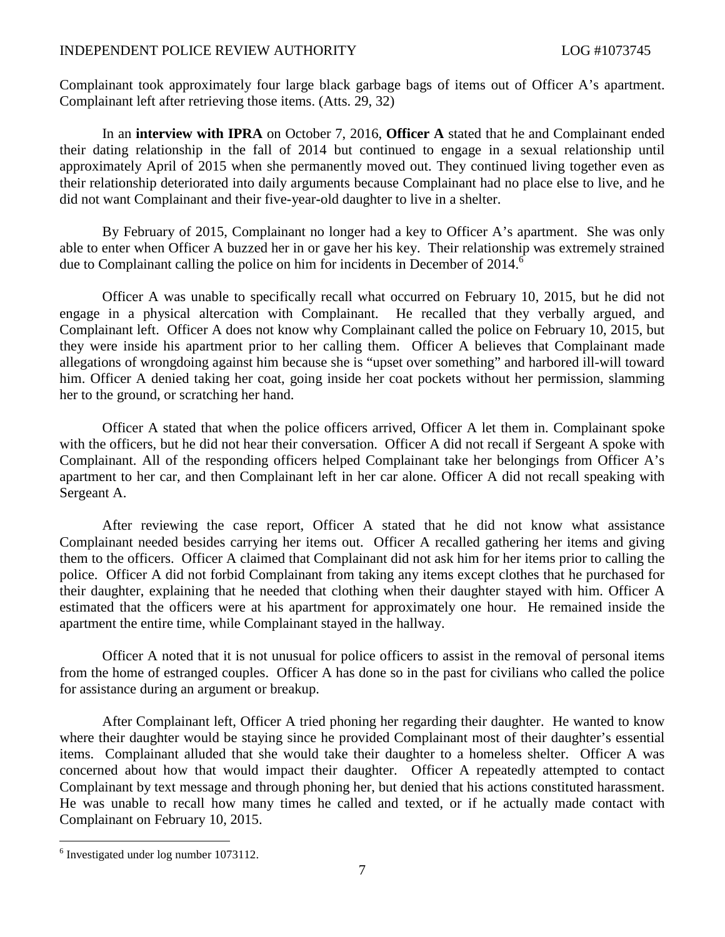Complainant took approximately four large black garbage bags of items out of Officer A's apartment. Complainant left after retrieving those items. (Atts. 29, 32)

In an **interview with IPRA** on October 7, 2016, **Officer A** stated that he and Complainant ended their dating relationship in the fall of 2014 but continued to engage in a sexual relationship until approximately April of 2015 when she permanently moved out. They continued living together even as their relationship deteriorated into daily arguments because Complainant had no place else to live, and he did not want Complainant and their five**-**year**-**old daughter to live in a shelter.

By February of 2015, Complainant no longer had a key to Officer A's apartment. She was only able to enter when Officer A buzzed her in or gave her his key. Their relationship was extremely strained dueto Complainant calling the police on him for incidents in December of 2014.<sup>6</sup>

Officer A was unable to specifically recall what occurred on February 10, 2015, but he did not engage in a physical altercation with Complainant. He recalled that they verbally argued, and Complainant left. Officer A does not know why Complainant called the police on February 10, 2015, but they were inside his apartment prior to her calling them. Officer A believes that Complainant made allegations of wrongdoing against him because she is "upset over something" and harbored ill-will toward him. Officer A denied taking her coat, going inside her coat pockets without her permission, slamming her to the ground, or scratching her hand.

Officer A stated that when the police officers arrived, Officer A let them in. Complainant spoke with the officers, but he did not hear their conversation. Officer A did not recall if Sergeant A spoke with Complainant. All of the responding officers helped Complainant take her belongings from Officer A's apartment to her car, and then Complainant left in her car alone. Officer A did not recall speaking with Sergeant A.

After reviewing the case report, Officer A stated that he did not know what assistance Complainant needed besides carrying her items out. Officer A recalled gathering her items and giving them to the officers. Officer A claimed that Complainant did not ask him for her items prior to calling the police. Officer A did not forbid Complainant from taking any items except clothes that he purchased for their daughter, explaining that he needed that clothing when their daughter stayed with him. Officer A estimated that the officers were at his apartment for approximately one hour. He remained inside the apartment the entire time, while Complainant stayed in the hallway.

Officer A noted that it is not unusual for police officers to assist in the removal of personal items from the home of estranged couples. Officer A has done so in the past for civilians who called the police for assistance during an argument or breakup.

After Complainant left, Officer A tried phoning her regarding their daughter. He wanted to know where their daughter would be staying since he provided Complainant most of their daughter's essential items. Complainant alluded that she would take their daughter to a homeless shelter. Officer A was concerned about how that would impact their daughter. Officer A repeatedly attempted to contact Complainant by text message and through phoning her, but denied that his actions constituted harassment. He was unable to recall how many times he called and texted, or if he actually made contact with Complainant on February 10, 2015.

<span id="page-4-0"></span><sup>&</sup>lt;sup>6</sup> Investigated under log number 1073112.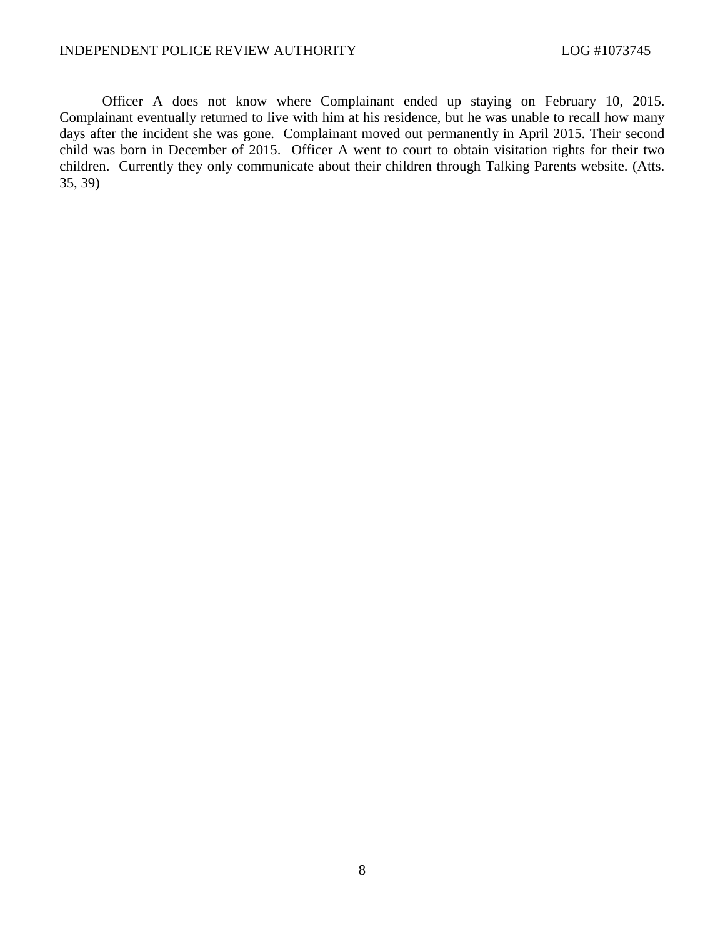Officer A does not know where Complainant ended up staying on February 10, 2015. Complainant eventually returned to live with him at his residence, but he was unable to recall how many days after the incident she was gone. Complainant moved out permanently in April 2015. Their second child was born in December of 2015. Officer A went to court to obtain visitation rights for their two children. Currently they only communicate about their children through Talking Parents website. (Atts. 35, 39)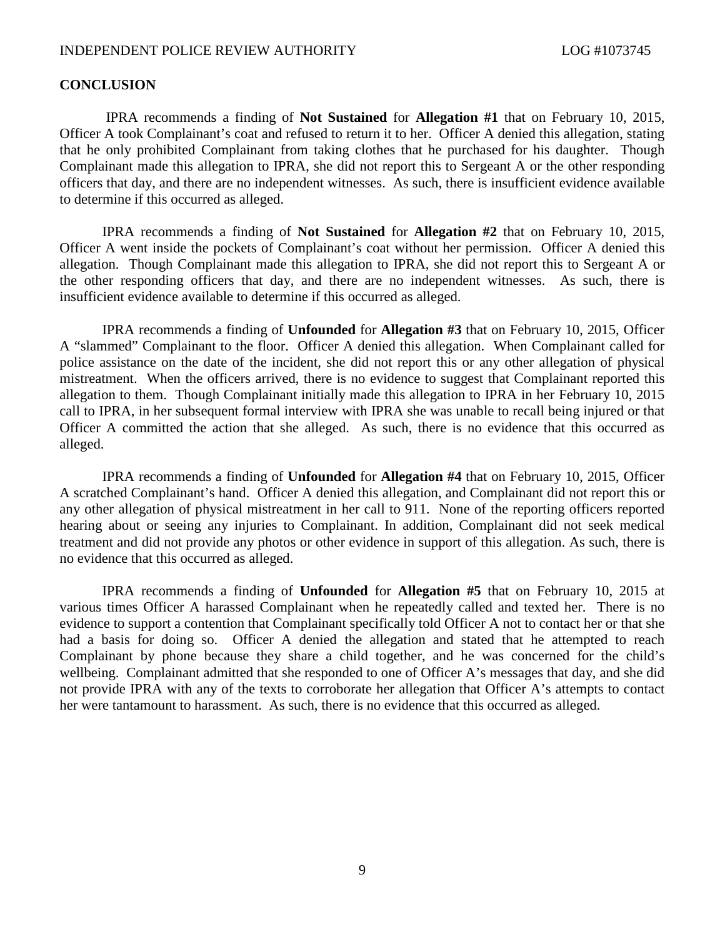# **CONCLUSION**

IPRA recommends a finding of **Not Sustained** for **Allegation #1** that on February 10, 2015, Officer A took Complainant's coat and refused to return it to her. Officer A denied this allegation, stating that he only prohibited Complainant from taking clothes that he purchased for his daughter. Though Complainant made this allegation to IPRA, she did not report this to Sergeant A or the other responding officers that day, and there are no independent witnesses. As such, there is insufficient evidence available to determine if this occurred as alleged.

IPRA recommends a finding of **Not Sustained** for **Allegation #2** that on February 10, 2015, Officer A went inside the pockets of Complainant's coat without her permission. Officer A denied this allegation. Though Complainant made this allegation to IPRA, she did not report this to Sergeant A or the other responding officers that day, and there are no independent witnesses. As such, there is insufficient evidence available to determine if this occurred as alleged.

IPRA recommends a finding of **Unfounded** for **Allegation #3** that on February 10, 2015, Officer A "slammed" Complainant to the floor. Officer A denied this allegation. When Complainant called for police assistance on the date of the incident, she did not report this or any other allegation of physical mistreatment. When the officers arrived, there is no evidence to suggest that Complainant reported this allegation to them. Though Complainant initially made this allegation to IPRA in her February 10, 2015 call to IPRA, in her subsequent formal interview with IPRA she was unable to recall being injured or that Officer A committed the action that she alleged. As such, there is no evidence that this occurred as alleged.

IPRA recommends a finding of **Unfounded** for **Allegation #4** that on February 10, 2015, Officer A scratched Complainant's hand. Officer A denied this allegation, and Complainant did not report this or any other allegation of physical mistreatment in her call to 911. None of the reporting officers reported hearing about or seeing any injuries to Complainant. In addition, Complainant did not seek medical treatment and did not provide any photos or other evidence in support of this allegation. As such, there is no evidence that this occurred as alleged.

IPRA recommends a finding of **Unfounded** for **Allegation #5** that on February 10, 2015 at various times Officer A harassed Complainant when he repeatedly called and texted her. There is no evidence to support a contention that Complainant specifically told Officer A not to contact her or that she had a basis for doing so. Officer A denied the allegation and stated that he attempted to reach Complainant by phone because they share a child together, and he was concerned for the child's wellbeing. Complainant admitted that she responded to one of Officer A's messages that day, and she did not provide IPRA with any of the texts to corroborate her allegation that Officer A's attempts to contact her were tantamount to harassment. As such, there is no evidence that this occurred as alleged.